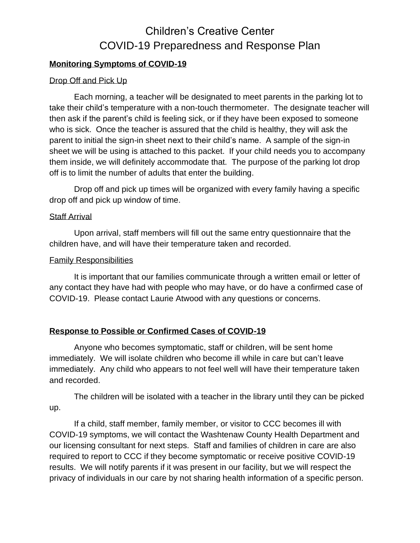# **Monitoring Symptoms of COVID-19**

### Drop Off and Pick Up

Each morning, a teacher will be designated to meet parents in the parking lot to take their child's temperature with a non-touch thermometer. The designate teacher will then ask if the parent's child is feeling sick, or if they have been exposed to someone who is sick. Once the teacher is assured that the child is healthy, they will ask the parent to initial the sign-in sheet next to their child's name. A sample of the sign-in sheet we will be using is attached to this packet. If your child needs you to accompany them inside, we will definitely accommodate that. The purpose of the parking lot drop off is to limit the number of adults that enter the building.

Drop off and pick up times will be organized with every family having a specific drop off and pick up window of time.

#### Staff Arrival

Upon arrival, staff members will fill out the same entry questionnaire that the children have, and will have their temperature taken and recorded.

#### Family Responsibilities

It is important that our families communicate through a written email or letter of any contact they have had with people who may have, or do have a confirmed case of COVID-19. Please contact Laurie Atwood with any questions or concerns.

### **Response to Possible or Confirmed Cases of COVID-19**

Anyone who becomes symptomatic, staff or children, will be sent home immediately. We will isolate children who become ill while in care but can't leave immediately. Any child who appears to not feel well will have their temperature taken and recorded.

The children will be isolated with a teacher in the library until they can be picked up.

If a child, staff member, family member, or visitor to CCC becomes ill with COVID-19 symptoms, we will contact the Washtenaw County Health Department and our licensing consultant for next steps. Staff and families of children in care are also required to report to CCC if they become symptomatic or receive positive COVID-19 results. We will notify parents if it was present in our facility, but we will respect the privacy of individuals in our care by not sharing health information of a specific person.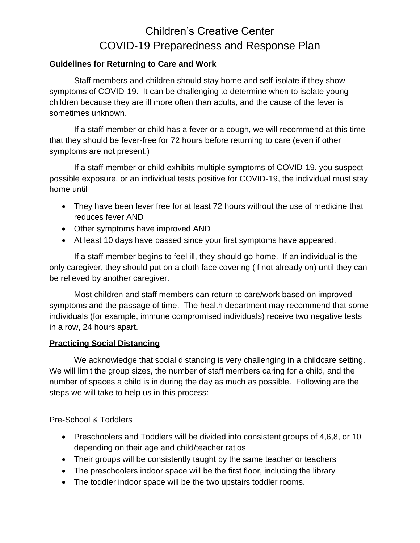# **Guidelines for Returning to Care and Work**

Staff members and children should stay home and self-isolate if they show symptoms of COVID-19. It can be challenging to determine when to isolate young children because they are ill more often than adults, and the cause of the fever is sometimes unknown.

If a staff member or child has a fever or a cough, we will recommend at this time that they should be fever-free for 72 hours before returning to care (even if other symptoms are not present.)

If a staff member or child exhibits multiple symptoms of COVID-19, you suspect possible exposure, or an individual tests positive for COVID-19, the individual must stay home until

- They have been fever free for at least 72 hours without the use of medicine that reduces fever AND
- Other symptoms have improved AND
- At least 10 days have passed since your first symptoms have appeared.

If a staff member begins to feel ill, they should go home. If an individual is the only caregiver, they should put on a cloth face covering (if not already on) until they can be relieved by another caregiver.

Most children and staff members can return to care/work based on improved symptoms and the passage of time. The health department may recommend that some individuals (for example, immune compromised individuals) receive two negative tests in a row, 24 hours apart.

### **Practicing Social Distancing**

We acknowledge that social distancing is very challenging in a childcare setting. We will limit the group sizes, the number of staff members caring for a child, and the number of spaces a child is in during the day as much as possible. Following are the steps we will take to help us in this process:

### Pre-School & Toddlers

- Preschoolers and Toddlers will be divided into consistent groups of 4,6,8, or 10 depending on their age and child/teacher ratios
- Their groups will be consistently taught by the same teacher or teachers
- The preschoolers indoor space will be the first floor, including the library
- The toddler indoor space will be the two upstairs toddler rooms.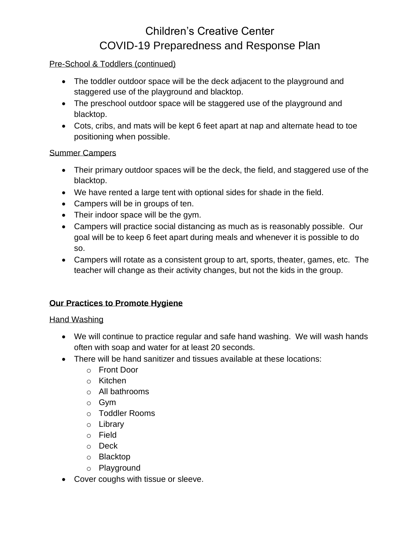### Pre-School & Toddlers (continued)

- The toddler outdoor space will be the deck adjacent to the playground and staggered use of the playground and blacktop.
- The preschool outdoor space will be staggered use of the playground and blacktop.
- Cots, cribs, and mats will be kept 6 feet apart at nap and alternate head to toe positioning when possible.

### Summer Campers

- Their primary outdoor spaces will be the deck, the field, and staggered use of the blacktop.
- We have rented a large tent with optional sides for shade in the field.
- Campers will be in groups of ten.
- Their indoor space will be the gym.
- Campers will practice social distancing as much as is reasonably possible. Our goal will be to keep 6 feet apart during meals and whenever it is possible to do so.
- Campers will rotate as a consistent group to art, sports, theater, games, etc. The teacher will change as their activity changes, but not the kids in the group.

# **Our Practices to Promote Hygiene**

# Hand Washing

- We will continue to practice regular and safe hand washing. We will wash hands often with soap and water for at least 20 seconds.
- There will be hand sanitizer and tissues available at these locations:
	- o Front Door
	- o Kitchen
	- o All bathrooms
	- o Gym
	- o Toddler Rooms
	- o Library
	- o Field
	- o Deck
	- o Blacktop
	- o Playground
- Cover coughs with tissue or sleeve.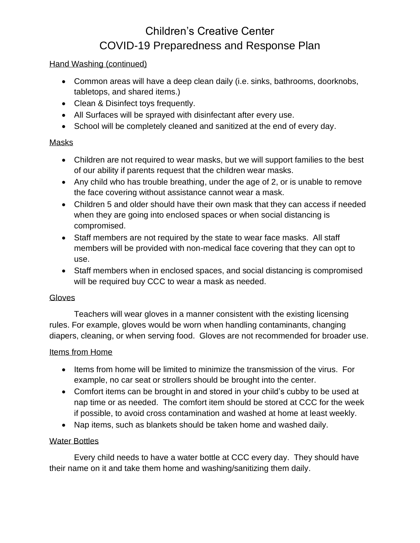## Hand Washing (continued)

- Common areas will have a deep clean daily (i.e. sinks, bathrooms, doorknobs, tabletops, and shared items.)
- Clean & Disinfect toys frequently.
- All Surfaces will be sprayed with disinfectant after every use.
- School will be completely cleaned and sanitized at the end of every day.

### Masks

- Children are not required to wear masks, but we will support families to the best of our ability if parents request that the children wear masks.
- Any child who has trouble breathing, under the age of 2, or is unable to remove the face covering without assistance cannot wear a mask.
- Children 5 and older should have their own mask that they can access if needed when they are going into enclosed spaces or when social distancing is compromised.
- Staff members are not required by the state to wear face masks. All staff members will be provided with non-medical face covering that they can opt to use.
- Staff members when in enclosed spaces, and social distancing is compromised will be required buy CCC to wear a mask as needed.

# **Gloves**

Teachers will wear gloves in a manner consistent with the existing licensing rules. For example, gloves would be worn when handling contaminants, changing diapers, cleaning, or when serving food. Gloves are not recommended for broader use.

# Items from Home

- Items from home will be limited to minimize the transmission of the virus. For example, no car seat or strollers should be brought into the center.
- Comfort items can be brought in and stored in your child's cubby to be used at nap time or as needed. The comfort item should be stored at CCC for the week if possible, to avoid cross contamination and washed at home at least weekly.
- Nap items, such as blankets should be taken home and washed daily.

# Water Bottles

Every child needs to have a water bottle at CCC every day. They should have their name on it and take them home and washing/sanitizing them daily.